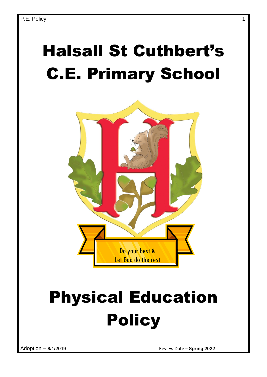# Halsall St Cuthbert's C.E. Primary School



# Physical Education Policy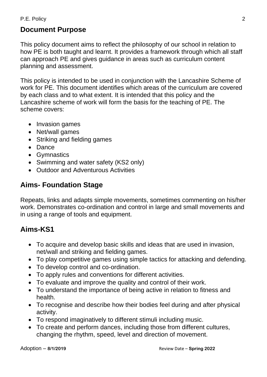#### P.E. Policy 2

#### **Document Purpose**

This policy document aims to reflect the philosophy of our school in relation to how PE is both taught and learnt. It provides a framework through which all staff can approach PE and gives guidance in areas such as curriculum content planning and assessment.

This policy is intended to be used in conjunction with the Lancashire Scheme of work for PE. This document identifies which areas of the curriculum are covered by each class and to what extent. It is intended that this policy and the Lancashire scheme of work will form the basis for the teaching of PE. The scheme covers:

- Invasion games
- Net/wall games
- Striking and fielding games
- Dance
- Gymnastics
- Swimming and water safety (KS2 only)
- Outdoor and Adventurous Activities

#### **Aims- Foundation Stage**

Repeats, links and adapts simple movements, sometimes commenting on his/her work. Demonstrates co-ordination and control in large and small movements and in using a range of tools and equipment.

#### **Aims-KS1**

- To acquire and develop basic skills and ideas that are used in invasion, net/wall and striking and fielding games.
- To play competitive games using simple tactics for attacking and defending.
- To develop control and co-ordination.
- To apply rules and conventions for different activities.
- To evaluate and improve the quality and control of their work.
- To understand the importance of being active in relation to fitness and health.
- To recognise and describe how their bodies feel during and after physical activity.
- To respond imaginatively to different stimuli including music.
- To create and perform dances, including those from different cultures, changing the rhythm, speed, level and direction of movement.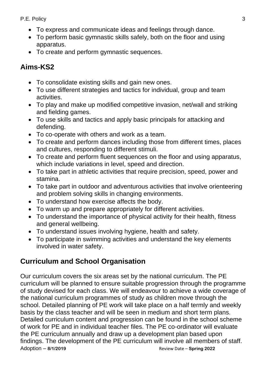#### P.E. Policy 3

- To express and communicate ideas and feelings through dance.
- To perform basic gymnastic skills safely, both on the floor and using apparatus.
- To create and perform gymnastic sequences.

# **Aims-KS2**

- To consolidate existing skills and gain new ones.
- To use different strategies and tactics for individual, group and team activities.
- To play and make up modified competitive invasion, net/wall and striking and fielding games.
- To use skills and tactics and apply basic principals for attacking and defending.
- To co-operate with others and work as a team.
- To create and perform dances including those from different times, places and cultures, responding to different stimuli.
- To create and perform fluent sequences on the floor and using apparatus, which include variations in level, speed and direction.
- To take part in athletic activities that require precision, speed, power and stamina.
- To take part in outdoor and adventurous activities that involve orienteering and problem solving skills in changing environments.
- To understand how exercise affects the body.
- To warm up and prepare appropriately for different activities.
- To understand the importance of physical activity for their health, fitness and general wellbeing.
- To understand issues involving hygiene, health and safety.
- To participate in swimming activities and understand the key elements involved in water safety.

# **Curriculum and School Organisation**

Adoption – **8/1/2019** Review Date – **Spring 2022** Our curriculum covers the six areas set by the national curriculum. The PE curriculum will be planned to ensure suitable progression through the programme of study devised for each class. We will endeavour to achieve a wide coverage of the national curriculum programmes of study as children move through the school. Detailed planning of PE work will take place on a half termly and weekly basis by the class teacher and will be seen in medium and short term plans. Detailed curriculum content and progression can be found in the school scheme of work for PE and in individual teacher files. The PE co-ordinator will evaluate the PE curriculum annually and draw up a development plan based upon findings. The development of the PE curriculum will involve all members of staff.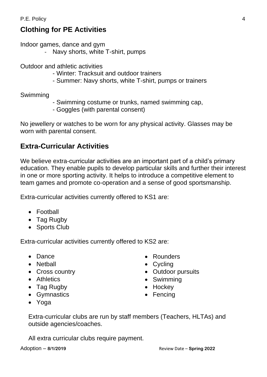# **Clothing for PE Activities**

Indoor games, dance and gym

Navy shorts, white T-shirt, pumps

Outdoor and athletic activities

- Winter: Tracksuit and outdoor trainers
- Summer: Navy shorts, white T-shirt, pumps or trainers

Swimming

- Swimming costume or trunks, named swimming cap,
- Goggles (with parental consent)

No jewellery or watches to be worn for any physical activity. Glasses may be worn with parental consent.

# **Extra-Curricular Activities**

We believe extra-curricular activities are an important part of a child's primary education. They enable pupils to develop particular skills and further their interest in one or more sporting activity. It helps to introduce a competitive element to team games and promote co-operation and a sense of good sportsmanship.

Extra-curricular activities currently offered to KS1 are:

- Football
- Tag Rugby
- Sports Club

Extra-curricular activities currently offered to KS2 are:

- Dance
- Netball
- Cross country
- Athletics
- Tag Rugby
- Gymnastics
- Yoga
- Rounders
- Cycling
- Outdoor pursuits
- Swimming
- Hockey
- Fencing
- Extra-curricular clubs are run by staff members (Teachers, HLTAs) and outside agencies/coaches.

All extra curricular clubs require payment.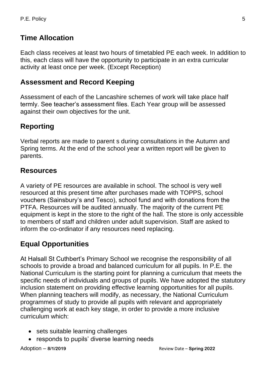# **Time Allocation**

Each class receives at least two hours of timetabled PE each week. In addition to this, each class will have the opportunity to participate in an extra curricular activity at least once per week. (Except Reception)

#### **Assessment and Record Keeping**

Assessment of each of the Lancashire schemes of work will take place half termly. See teacher's assessment files. Each Year group will be assessed against their own objectives for the unit.

# **Reporting**

Verbal reports are made to parent s during consultations in the Autumn and Spring terms. At the end of the school year a written report will be given to parents.

### **Resources**

A variety of PE resources are available in school. The school is very well resourced at this present time after purchases made with TOPPS, school vouchers (Sainsbury's and Tesco), school fund and with donations from the PTFA. Resources will be audited annually. The majority of the current PE equipment is kept in the store to the right of the hall. The store is only accessible to members of staff and children under adult supervision. Staff are asked to inform the co-ordinator if any resources need replacing.

### **Equal Opportunities**

At Halsall St Cuthbert's Primary School we recognise the responsibility of all schools to provide a broad and balanced curriculum for all pupils. In P.E. the National Curriculum is the starting point for planning a curriculum that meets the specific needs of individuals and groups of pupils. We have adopted the statutory inclusion statement on providing effective learning opportunities for all pupils. When planning teachers will modify, as necessary, the National Curriculum programmes of study to provide all pupils with relevant and appropriately challenging work at each key stage, in order to provide a more inclusive curriculum which:

- sets suitable learning challenges
- responds to pupils' diverse learning needs